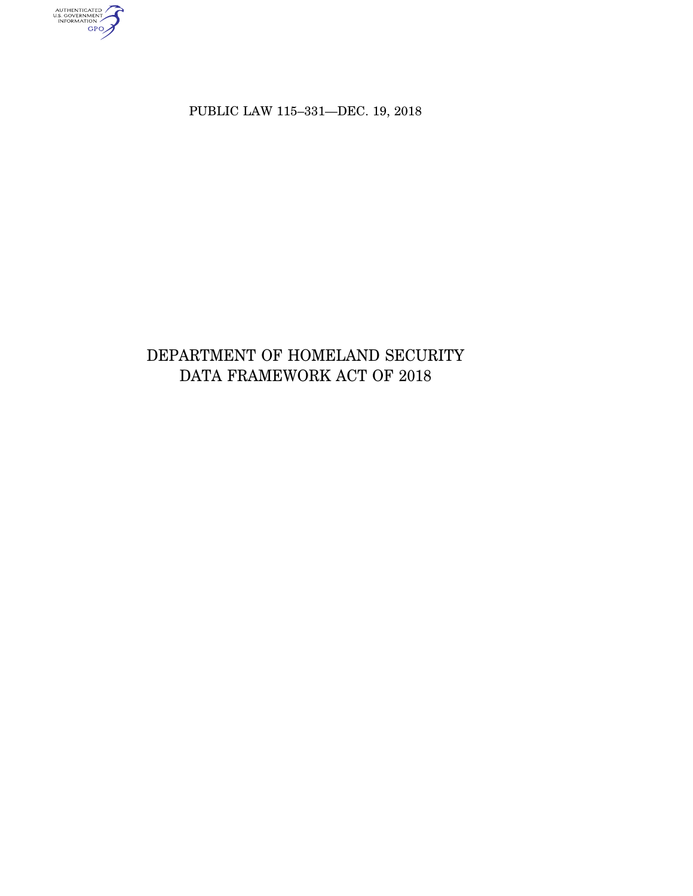AUTHENTICATED<br>U.S. GOVERNMENT<br>INFORMATION

PUBLIC LAW 115–331—DEC. 19, 2018

# DEPARTMENT OF HOMELAND SECURITY DATA FRAMEWORK ACT OF 2018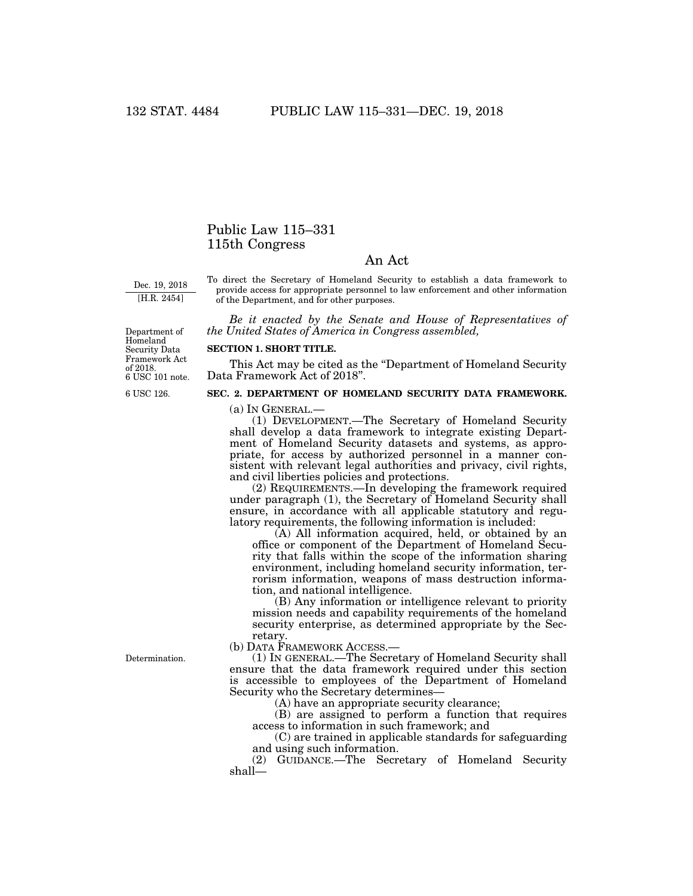## Public Law 115–331 115th Congress

### An Act

Dec. 19, 2018 [H.R. 2454]

To direct the Secretary of Homeland Security to establish a data framework to provide access for appropriate personnel to law enforcement and other information of the Department, and for other purposes.

*Be it enacted by the Senate and House of Representatives of the United States of America in Congress assembled,* 

Department of Homeland Security Data Framework Act of 2018. 6 USC 101 note.

6 USC 126.

#### **SECTION 1. SHORT TITLE.**

This Act may be cited as the ''Department of Homeland Security Data Framework Act of 2018''.

#### **SEC. 2. DEPARTMENT OF HOMELAND SECURITY DATA FRAMEWORK.**

(a) IN GENERAL.—

(1) DEVELOPMENT.—The Secretary of Homeland Security shall develop a data framework to integrate existing Department of Homeland Security datasets and systems, as appropriate, for access by authorized personnel in a manner consistent with relevant legal authorities and privacy, civil rights, and civil liberties policies and protections.

(2) REQUIREMENTS.—In developing the framework required under paragraph (1), the Secretary of Homeland Security shall ensure, in accordance with all applicable statutory and regulatory requirements, the following information is included:

(A) All information acquired, held, or obtained by an office or component of the Department of Homeland Security that falls within the scope of the information sharing environment, including homeland security information, terrorism information, weapons of mass destruction information, and national intelligence.

(B) Any information or intelligence relevant to priority mission needs and capability requirements of the homeland security enterprise, as determined appropriate by the Secretary.

(b) DATA FRAMEWORK ACCESS.—

(1) IN GENERAL.—The Secretary of Homeland Security shall ensure that the data framework required under this section is accessible to employees of the Department of Homeland Security who the Secretary determines—

(A) have an appropriate security clearance;

(B) are assigned to perform a function that requires access to information in such framework; and

(C) are trained in applicable standards for safeguarding and using such information.

(2) GUIDANCE.—The Secretary of Homeland Security shall—

Determination.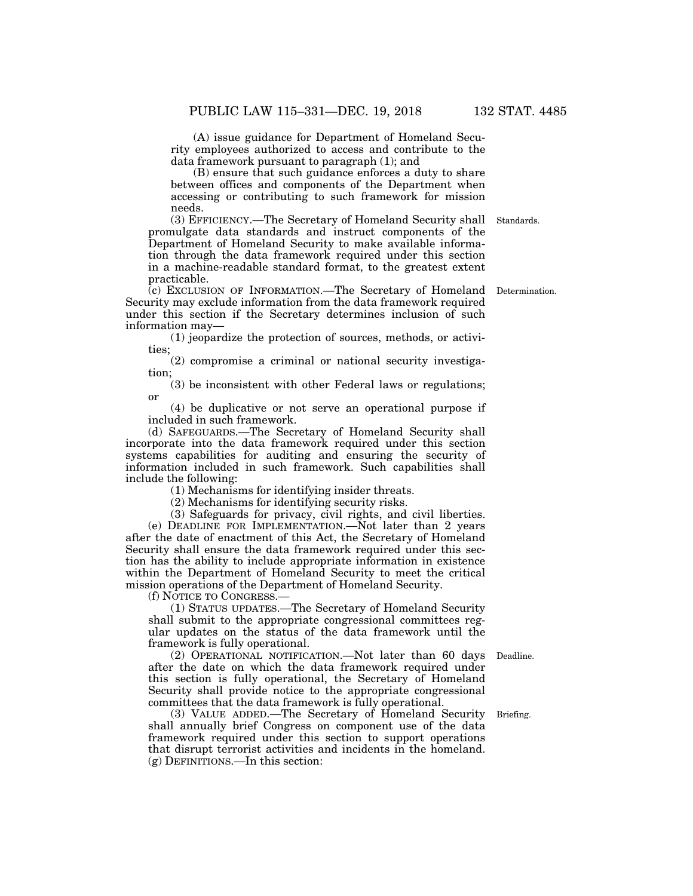(A) issue guidance for Department of Homeland Security employees authorized to access and contribute to the data framework pursuant to paragraph (1); and

(B) ensure that such guidance enforces a duty to share between offices and components of the Department when accessing or contributing to such framework for mission needs.

(3) EFFICIENCY.—The Secretary of Homeland Security shall Standards. promulgate data standards and instruct components of the Department of Homeland Security to make available information through the data framework required under this section in a machine-readable standard format, to the greatest extent practicable.

(c) EXCLUSION OF INFORMATION.—The Secretary of Homeland Determination. Security may exclude information from the data framework required under this section if the Secretary determines inclusion of such information may—

(1) jeopardize the protection of sources, methods, or activities;

(2) compromise a criminal or national security investigation;

(3) be inconsistent with other Federal laws or regulations; or

(4) be duplicative or not serve an operational purpose if included in such framework.

(d) SAFEGUARDS.—The Secretary of Homeland Security shall incorporate into the data framework required under this section systems capabilities for auditing and ensuring the security of information included in such framework. Such capabilities shall include the following:

(1) Mechanisms for identifying insider threats.

(2) Mechanisms for identifying security risks.

(3) Safeguards for privacy, civil rights, and civil liberties. (e) DEADLINE FOR IMPLEMENTATION.—Not later than 2 years after the date of enactment of this Act, the Secretary of Homeland Security shall ensure the data framework required under this section has the ability to include appropriate information in existence within the Department of Homeland Security to meet the critical mission operations of the Department of Homeland Security.

(f) NOTICE TO CONGRESS.—

(1) STATUS UPDATES.—The Secretary of Homeland Security shall submit to the appropriate congressional committees regular updates on the status of the data framework until the framework is fully operational.

(2) OPERATIONAL NOTIFICATION.—Not later than 60 days Deadline. after the date on which the data framework required under this section is fully operational, the Secretary of Homeland Security shall provide notice to the appropriate congressional committees that the data framework is fully operational.

(3) VALUE ADDED.—The Secretary of Homeland Security shall annually brief Congress on component use of the data framework required under this section to support operations that disrupt terrorist activities and incidents in the homeland. (g) DEFINITIONS.—In this section:

Briefing.